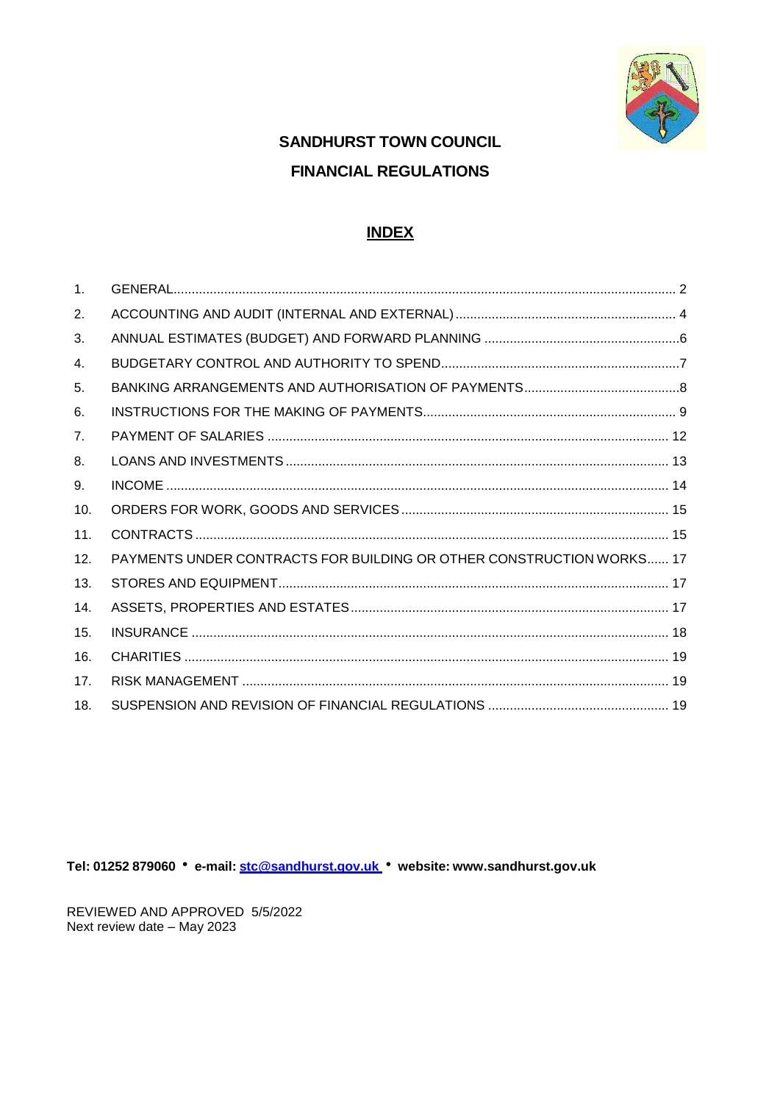

# **SANDHURST TOWN COUNCIL FINANCIAL REGULATIONS**

### **INDEX**

| $\mathbf{1}$ . |                                                                      |
|----------------|----------------------------------------------------------------------|
| 2.             |                                                                      |
| 3.             |                                                                      |
| 4.             |                                                                      |
| 5.             |                                                                      |
| 6.             |                                                                      |
| 7 <sub>1</sub> |                                                                      |
| 8.             |                                                                      |
| 9.             |                                                                      |
| 10.            |                                                                      |
| 11.            |                                                                      |
| 12.            | PAYMENTS UNDER CONTRACTS FOR BUILDING OR OTHER CONSTRUCTION WORKS 17 |
| 13.            |                                                                      |
| 14.            |                                                                      |
| 15.            |                                                                      |
| 16.            |                                                                      |
| 17.            |                                                                      |
| 18.            |                                                                      |

Tel: 01252 879060 • e-mail: stc@sandhurst.gov.uk • website: www.sandhurst.gov.uk

REVIEWED AND APPROVED 5/5/2022 Next review date - May 2023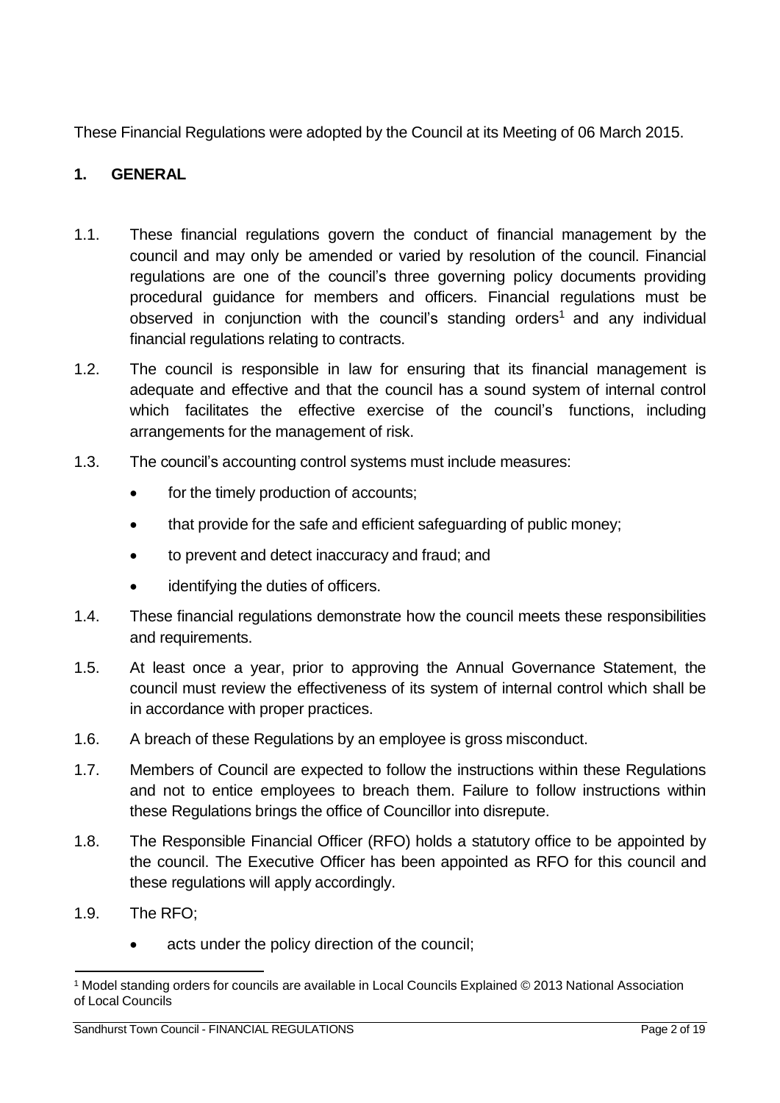These Financial Regulations were adopted by the Council at its Meeting of 06 March 2015.

### <span id="page-1-0"></span>**1. GENERAL**

- 1.1. These financial regulations govern the conduct of financial management by the council and may only be amended or varied by resolution of the council. Financial regulations are one of the council's three governing policy documents providing procedural guidance for members and officers. Financial regulations must be observed in conjunction with the council's standing orders<sup>[1](#page-1-1)</sup> and any individual financial regulations relating to contracts.
- 1.2. The council is responsible in law for ensuring that its financial management is adequate and effective and that the council has a sound system of internal control which facilitates the effective exercise of the council's functions, including arrangements for the management of risk.
- 1.3. The council's accounting control systems must include measures:
	- for the timely production of accounts;
	- that provide for the safe and efficient safeguarding of public money;
	- to prevent and detect inaccuracy and fraud; and
	- identifying the duties of officers.
- 1.4. These financial regulations demonstrate how the council meets these responsibilities and requirements.
- 1.5. At least once a year, prior to approving the Annual Governance Statement, the council must review the effectiveness of its system of internal control which shall be in accordance with proper practices.
- 1.6. A breach of these Regulations by an employee is gross misconduct.
- 1.7. Members of Council are expected to follow the instructions within these Regulations and not to entice employees to breach them. Failure to follow instructions within these Regulations brings the office of Councillor into disrepute.
- 1.8. The Responsible Financial Officer (RFO) holds a statutory office to be appointed by the council. The Executive Officer has been appointed as RFO for this council and these regulations will apply accordingly.
- 1.9. The RFO;
	- acts under the policy direction of the council;

<span id="page-1-1"></span><sup>1</sup> Model standing orders for councils are available in Local Councils Explained © 2013 National Association of Local Councils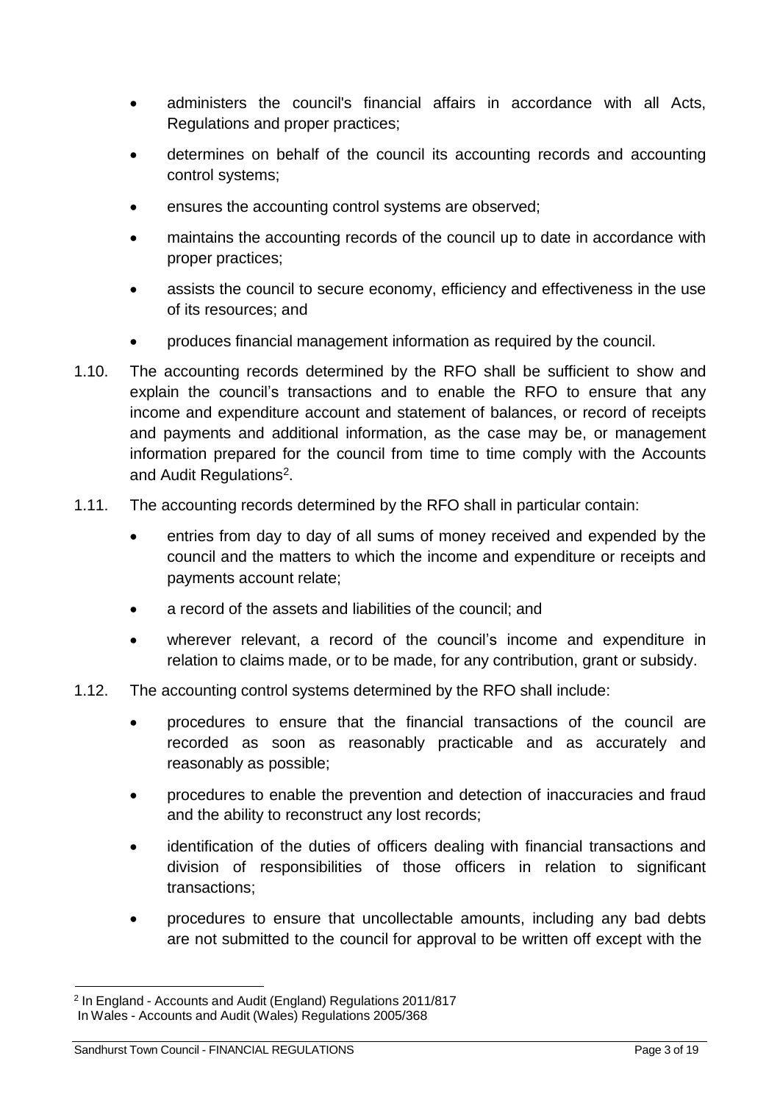- administers the council's financial affairs in accordance with all Acts, Regulations and proper practices;
- determines on behalf of the council its accounting records and accounting control systems;
- ensures the accounting control systems are observed;
- maintains the accounting records of the council up to date in accordance with proper practices;
- assists the council to secure economy, efficiency and effectiveness in the use of its resources; and
- produces financial management information as required by the council.
- 1.10. The accounting records determined by the RFO shall be sufficient to show and explain the council's transactions and to enable the RFO to ensure that any income and expenditure account and statement of balances, or record of receipts and payments and additional information, as the case may be, or management information prepared for the council from time to time comply with the Accounts and Audit Regulations<sup>[2](#page-2-0)</sup>.
- 1.11. The accounting records determined by the RFO shall in particular contain:
	- entries from day to day of all sums of money received and expended by the council and the matters to which the income and expenditure or receipts and payments account relate;
	- a record of the assets and liabilities of the council; and
	- wherever relevant, a record of the council's income and expenditure in relation to claims made, or to be made, for any contribution, grant or subsidy.
- 1.12. The accounting control systems determined by the RFO shall include:
	- procedures to ensure that the financial transactions of the council are recorded as soon as reasonably practicable and as accurately and reasonably as possible;
	- procedures to enable the prevention and detection of inaccuracies and fraud and the ability to reconstruct any lost records;
	- identification of the duties of officers dealing with financial transactions and division of responsibilities of those officers in relation to significant transactions;
	- procedures to ensure that uncollectable amounts, including any bad debts are not submitted to the council for approval to be written off except with the

<span id="page-2-0"></span><sup>2</sup> In England - Accounts and Audit (England) Regulations 2011/817 In Wales - Accounts and Audit (Wales) Regulations 2005/368

Sandhurst Town Council - FINANCIAL REGULATIONS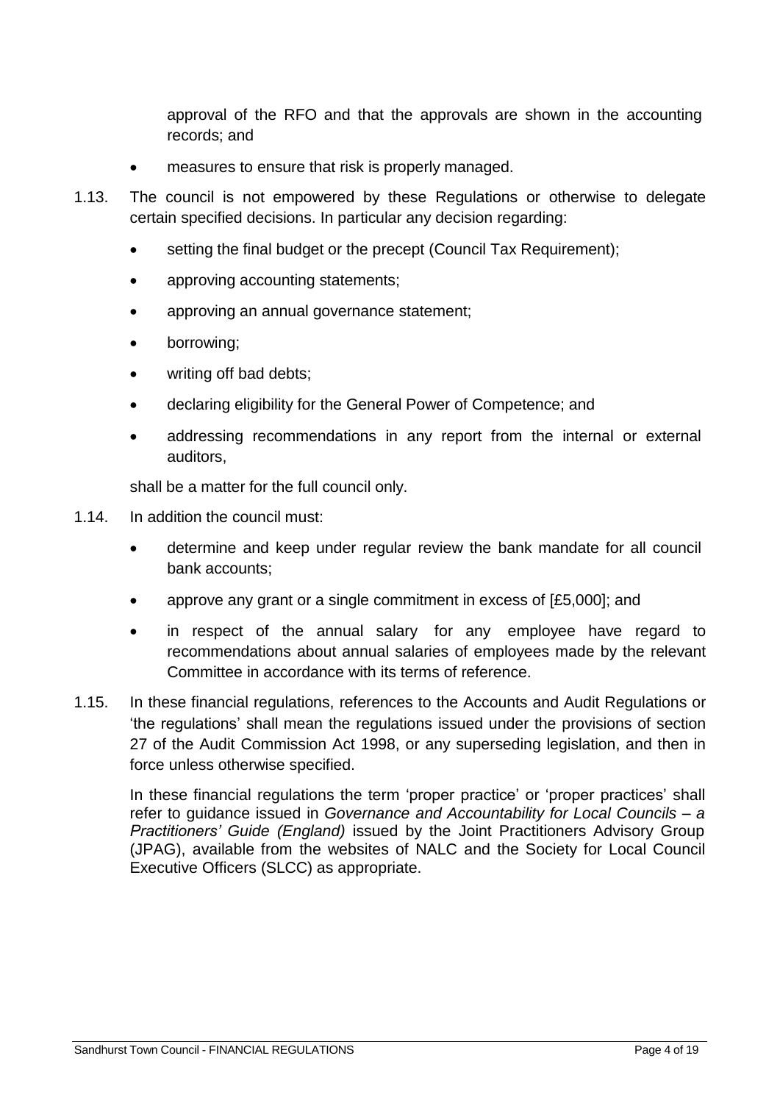approval of the RFO and that the approvals are shown in the accounting records; and

- measures to ensure that risk is properly managed.
- 1.13. The council is not empowered by these Regulations or otherwise to delegate certain specified decisions. In particular any decision regarding:
	- setting the final budget or the precept (Council Tax Requirement);
	- approving accounting statements;
	- approving an annual governance statement;
	- borrowing;
	- writing off bad debts;
	- declaring eligibility for the General Power of Competence; and
	- addressing recommendations in any report from the internal or external auditors,

shall be a matter for the full council only.

- 1.14. In addition the council must:
	- determine and keep under regular review the bank mandate for all council bank accounts;
	- approve any grant or a single commitment in excess of [£5,000]; and
	- in respect of the annual salary for any employee have regard to recommendations about annual salaries of employees made by the relevant Committee in accordance with its terms of reference.
- 1.15. In these financial regulations, references to the Accounts and Audit Regulations or 'the regulations' shall mean the regulations issued under the provisions of section 27 of the Audit Commission Act 1998, or any superseding legislation, and then in force unless otherwise specified.

In these financial regulations the term 'proper practice' or 'proper practices' shall refer to guidance issued in *Governance and Accountability for Local Councils – a Practitioners' Guide (England)* issued by the Joint Practitioners Advisory Group (JPAG), available from the websites of NALC and the Society for Local Council Executive Officers (SLCC) as appropriate.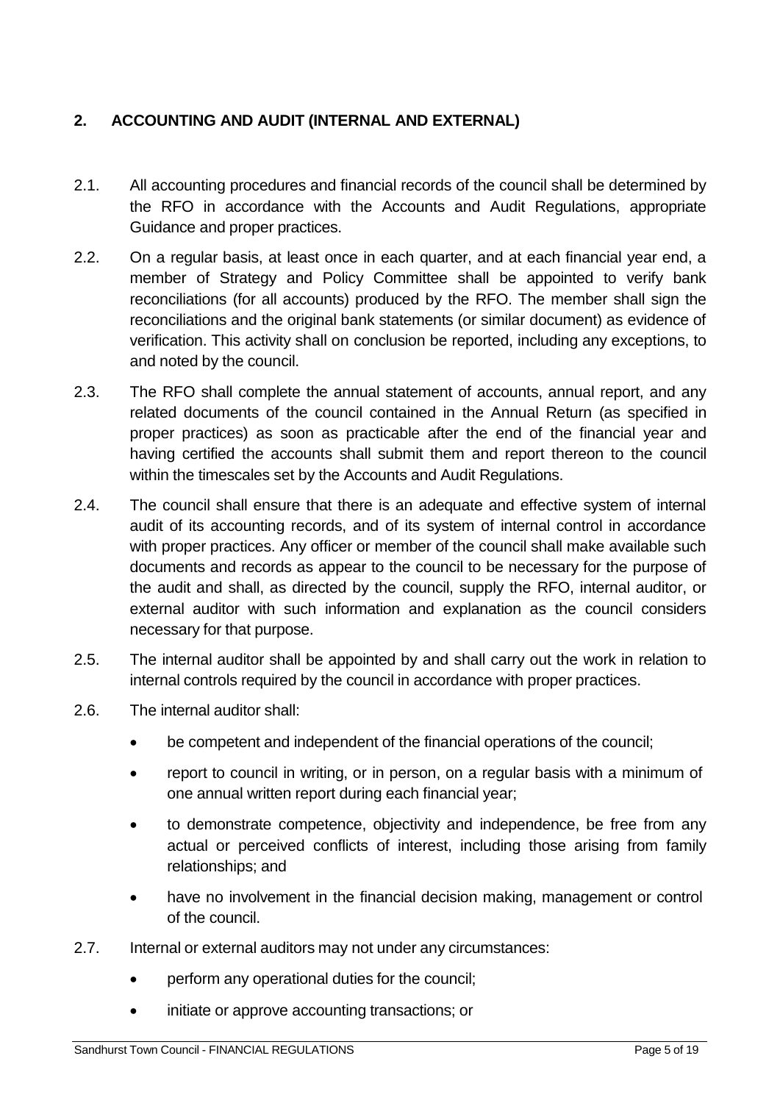### <span id="page-4-0"></span>**2. ACCOUNTING AND AUDIT (INTERNAL AND EXTERNAL)**

- 2.1. All accounting procedures and financial records of the council shall be determined by the RFO in accordance with the Accounts and Audit Regulations, appropriate Guidance and proper practices.
- 2.2. On a regular basis, at least once in each quarter, and at each financial year end, a member of Strategy and Policy Committee shall be appointed to verify bank reconciliations (for all accounts) produced by the RFO. The member shall sign the reconciliations and the original bank statements (or similar document) as evidence of verification. This activity shall on conclusion be reported, including any exceptions, to and noted by the council.
- 2.3. The RFO shall complete the annual statement of accounts, annual report, and any related documents of the council contained in the Annual Return (as specified in proper practices) as soon as practicable after the end of the financial year and having certified the accounts shall submit them and report thereon to the council within the timescales set by the Accounts and Audit Regulations.
- 2.4. The council shall ensure that there is an adequate and effective system of internal audit of its accounting records, and of its system of internal control in accordance with proper practices. Any officer or member of the council shall make available such documents and records as appear to the council to be necessary for the purpose of the audit and shall, as directed by the council, supply the RFO, internal auditor, or external auditor with such information and explanation as the council considers necessary for that purpose.
- 2.5. The internal auditor shall be appointed by and shall carry out the work in relation to internal controls required by the council in accordance with proper practices.
- 2.6. The internal auditor shall:
	- be competent and independent of the financial operations of the council;
	- report to council in writing, or in person, on a regular basis with a minimum of one annual written report during each financial year;
	- to demonstrate competence, objectivity and independence, be free from any actual or perceived conflicts of interest, including those arising from family relationships; and
	- have no involvement in the financial decision making, management or control of the council.
- 2.7. Internal or external auditors may not under any circumstances:
	- perform any operational duties for the council;
	- initiate or approve accounting transactions; or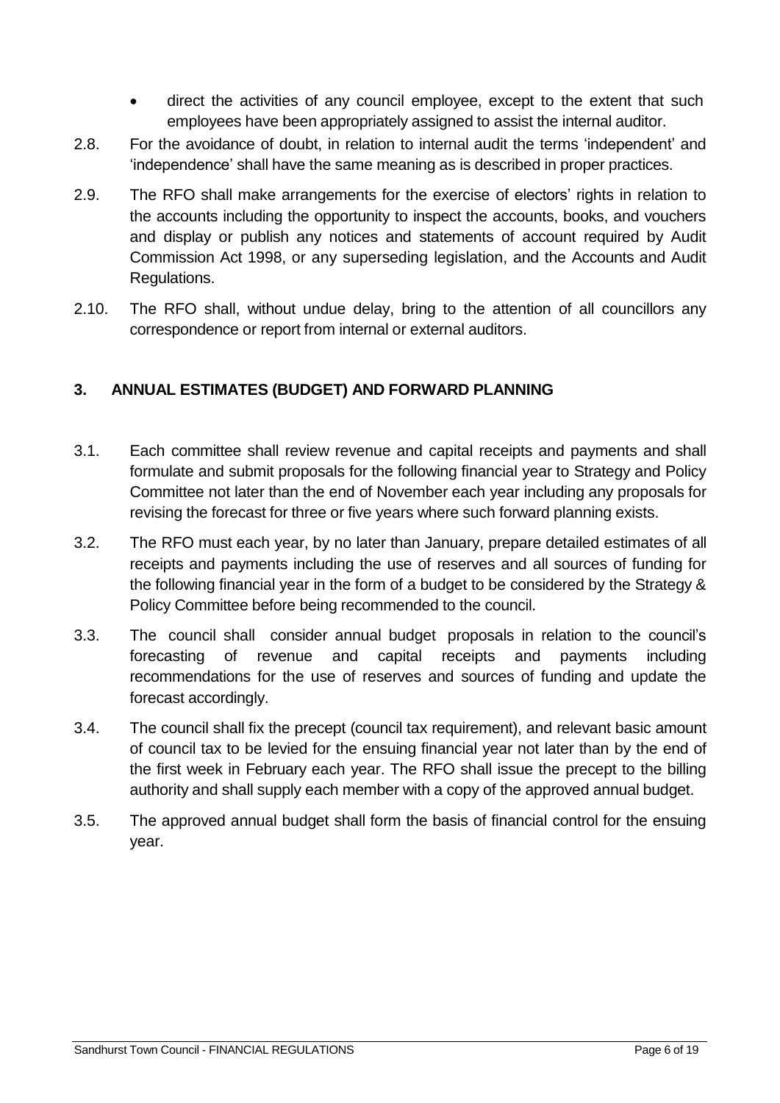- direct the activities of any council employee, except to the extent that such employees have been appropriately assigned to assist the internal auditor.
- 2.8. For the avoidance of doubt, in relation to internal audit the terms 'independent' and 'independence' shall have the same meaning as is described in proper practices.
- 2.9. The RFO shall make arrangements for the exercise of electors' rights in relation to the accounts including the opportunity to inspect the accounts, books, and vouchers and display or publish any notices and statements of account required by Audit Commission Act 1998, or any superseding legislation, and the Accounts and Audit Regulations.
- 2.10. The RFO shall, without undue delay, bring to the attention of all councillors any correspondence or report from internal or external auditors.

### <span id="page-5-0"></span>**3. ANNUAL ESTIMATES (BUDGET) AND FORWARD PLANNING**

- 3.1. Each committee shall review revenue and capital receipts and payments and shall formulate and submit proposals for the following financial year to Strategy and Policy Committee not later than the end of November each year including any proposals for revising the forecast for three or five years where such forward planning exists.
- 3.2. The RFO must each year, by no later than January, prepare detailed estimates of all receipts and payments including the use of reserves and all sources of funding for the following financial year in the form of a budget to be considered by the Strategy & Policy Committee before being recommended to the council.
- 3.3. The council shall consider annual budget proposals in relation to the council's forecasting of revenue and capital receipts and payments including recommendations for the use of reserves and sources of funding and update the forecast accordingly.
- 3.4. The council shall fix the precept (council tax requirement), and relevant basic amount of council tax to be levied for the ensuing financial year not later than by the end of the first week in February each year. The RFO shall issue the precept to the billing authority and shall supply each member with a copy of the approved annual budget.
- 3.5. The approved annual budget shall form the basis of financial control for the ensuing year.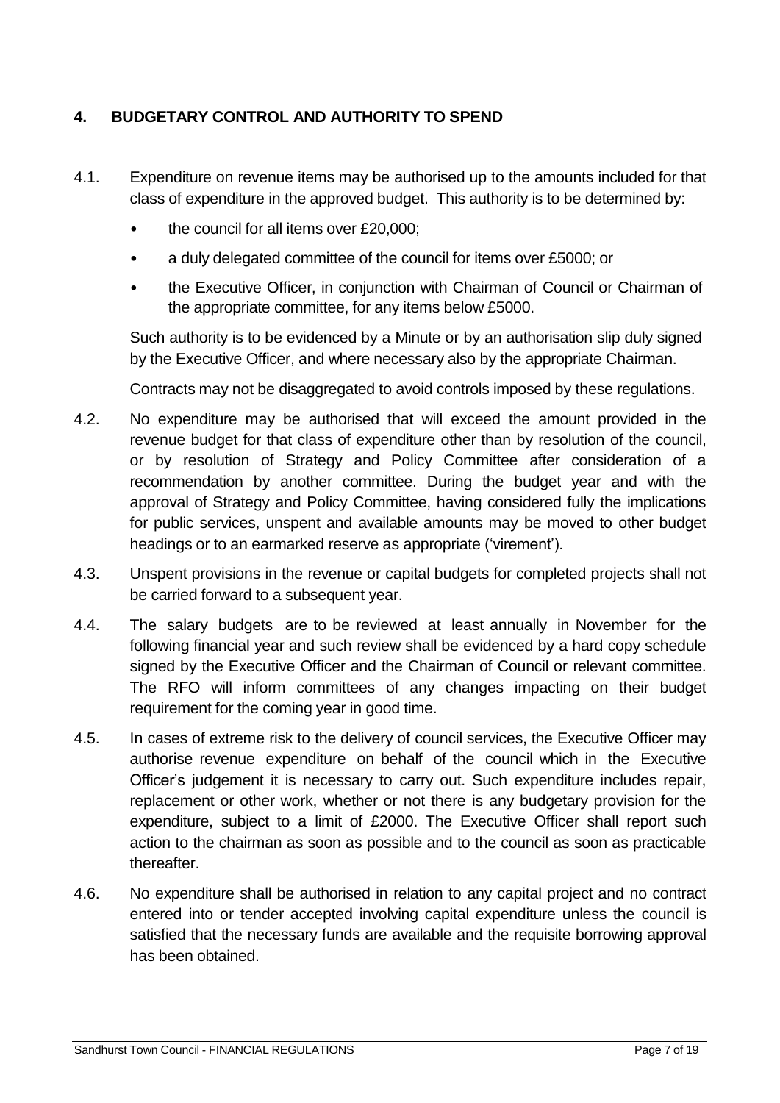### <span id="page-6-0"></span>**4. BUDGETARY CONTROL AND AUTHORITY TO SPEND**

- 4.1. Expenditure on revenue items may be authorised up to the amounts included for that class of expenditure in the approved budget. This authority is to be determined by:
	- the council for all items over £20,000;
	- a duly delegated committee of the council for items over £5000; or
	- the Executive Officer, in conjunction with Chairman of Council or Chairman of the appropriate committee, for any items below £5000.

Such authority is to be evidenced by a Minute or by an authorisation slip duly signed by the Executive Officer, and where necessary also by the appropriate Chairman.

Contracts may not be disaggregated to avoid controls imposed by these regulations.

- 4.2. No expenditure may be authorised that will exceed the amount provided in the revenue budget for that class of expenditure other than by resolution of the council, or by resolution of Strategy and Policy Committee after consideration of a recommendation by another committee. During the budget year and with the approval of Strategy and Policy Committee, having considered fully the implications for public services, unspent and available amounts may be moved to other budget headings or to an earmarked reserve as appropriate ('virement').
- 4.3. Unspent provisions in the revenue or capital budgets for completed projects shall not be carried forward to a subsequent year.
- 4.4. The salary budgets are to be reviewed at least annually in November for the following financial year and such review shall be evidenced by a hard copy schedule signed by the Executive Officer and the Chairman of Council or relevant committee. The RFO will inform committees of any changes impacting on their budget requirement for the coming year in good time.
- 4.5. In cases of extreme risk to the delivery of council services, the Executive Officer may authorise revenue expenditure on behalf of the council which in the Executive Officer's judgement it is necessary to carry out. Such expenditure includes repair, replacement or other work, whether or not there is any budgetary provision for the expenditure, subject to a limit of £2000. The Executive Officer shall report such action to the chairman as soon as possible and to the council as soon as practicable thereafter.
- 4.6. No expenditure shall be authorised in relation to any capital project and no contract entered into or tender accepted involving capital expenditure unless the council is satisfied that the necessary funds are available and the requisite borrowing approval has been obtained.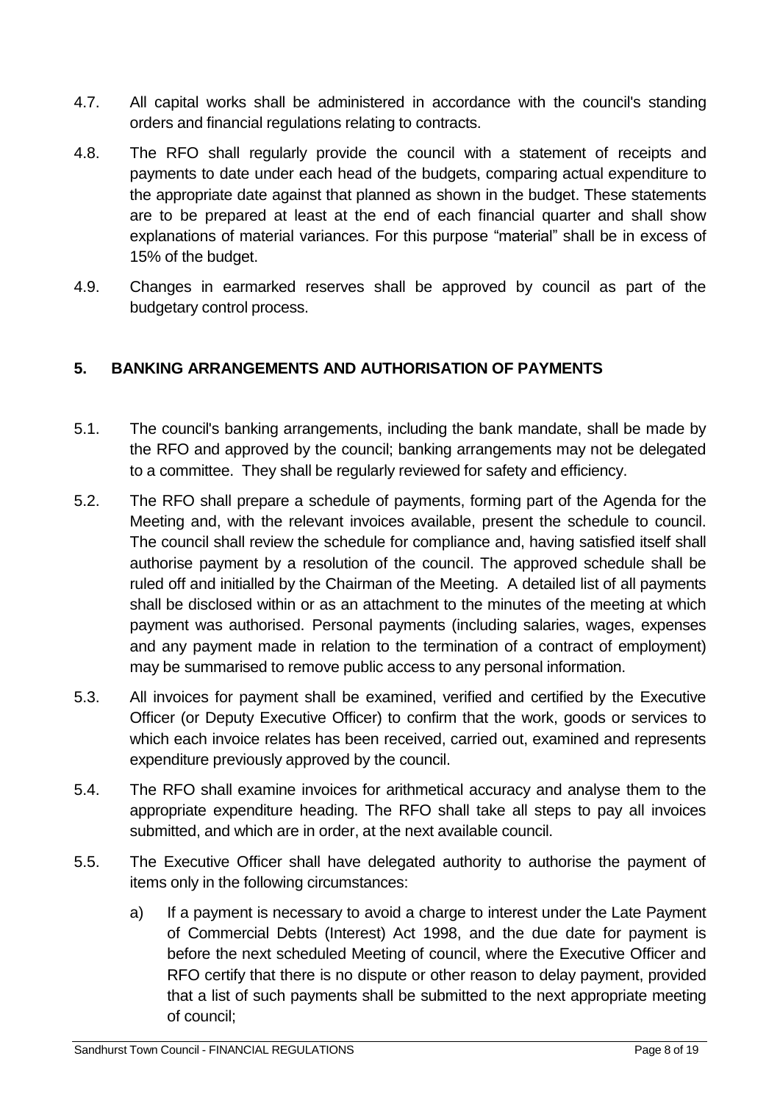- 4.7. All capital works shall be administered in accordance with the council's standing orders and financial regulations relating to contracts.
- 4.8. The RFO shall regularly provide the council with a statement of receipts and payments to date under each head of the budgets, comparing actual expenditure to the appropriate date against that planned as shown in the budget. These statements are to be prepared at least at the end of each financial quarter and shall show explanations of material variances. For this purpose "material" shall be in excess of 15% of the budget.
- 4.9. Changes in earmarked reserves shall be approved by council as part of the budgetary control process.

## <span id="page-7-0"></span>**5. BANKING ARRANGEMENTS AND AUTHORISATION OF PAYMENTS**

- 5.1. The council's banking arrangements, including the bank mandate, shall be made by the RFO and approved by the council; banking arrangements may not be delegated to a committee. They shall be regularly reviewed for safety and efficiency.
- 5.2. The RFO shall prepare a schedule of payments, forming part of the Agenda for the Meeting and, with the relevant invoices available, present the schedule to council. The council shall review the schedule for compliance and, having satisfied itself shall authorise payment by a resolution of the council. The approved schedule shall be ruled off and initialled by the Chairman of the Meeting. A detailed list of all payments shall be disclosed within or as an attachment to the minutes of the meeting at which payment was authorised. Personal payments (including salaries, wages, expenses and any payment made in relation to the termination of a contract of employment) may be summarised to remove public access to any personal information.
- 5.3. All invoices for payment shall be examined, verified and certified by the Executive Officer (or Deputy Executive Officer) to confirm that the work, goods or services to which each invoice relates has been received, carried out, examined and represents expenditure previously approved by the council.
- 5.4. The RFO shall examine invoices for arithmetical accuracy and analyse them to the appropriate expenditure heading. The RFO shall take all steps to pay all invoices submitted, and which are in order, at the next available council.
- 5.5. The Executive Officer shall have delegated authority to authorise the payment of items only in the following circumstances:
	- a) If a payment is necessary to avoid a charge to interest under the Late Payment of Commercial Debts (Interest) Act 1998, and the due date for payment is before the next scheduled Meeting of council, where the Executive Officer and RFO certify that there is no dispute or other reason to delay payment, provided that a list of such payments shall be submitted to the next appropriate meeting of council;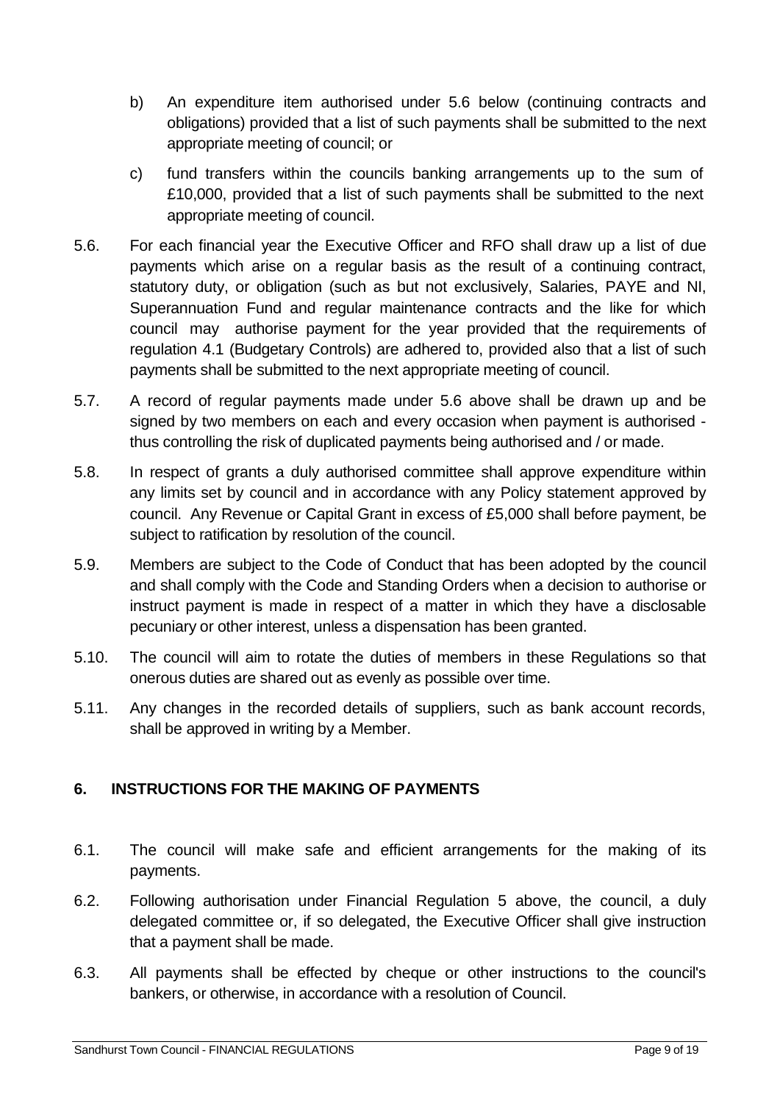- b) An expenditure item authorised under 5.6 below (continuing contracts and obligations) provided that a list of such payments shall be submitted to the next appropriate meeting of council; or
- c) fund transfers within the councils banking arrangements up to the sum of £10,000, provided that a list of such payments shall be submitted to the next appropriate meeting of council.
- 5.6. For each financial year the Executive Officer and RFO shall draw up a list of due payments which arise on a regular basis as the result of a continuing contract, statutory duty, or obligation (such as but not exclusively, Salaries, PAYE and NI, Superannuation Fund and regular maintenance contracts and the like for which council may authorise payment for the year provided that the requirements of regulation 4.1 (Budgetary Controls) are adhered to, provided also that a list of such payments shall be submitted to the next appropriate meeting of council.
- 5.7. A record of regular payments made under 5.6 above shall be drawn up and be signed by two members on each and every occasion when payment is authorised thus controlling the risk of duplicated payments being authorised and / or made.
- 5.8. In respect of grants a duly authorised committee shall approve expenditure within any limits set by council and in accordance with any Policy statement approved by council. Any Revenue or Capital Grant in excess of £5,000 shall before payment, be subject to ratification by resolution of the council.
- 5.9. Members are subject to the Code of Conduct that has been adopted by the council and shall comply with the Code and Standing Orders when a decision to authorise or instruct payment is made in respect of a matter in which they have a disclosable pecuniary or other interest, unless a dispensation has been granted.
- 5.10. The council will aim to rotate the duties of members in these Regulations so that onerous duties are shared out as evenly as possible over time.
- 5.11. Any changes in the recorded details of suppliers, such as bank account records, shall be approved in writing by a Member.

### <span id="page-8-0"></span>**6. INSTRUCTIONS FOR THE MAKING OF PAYMENTS**

- 6.1. The council will make safe and efficient arrangements for the making of its payments.
- 6.2. Following authorisation under Financial Regulation 5 above, the council, a duly delegated committee or, if so delegated, the Executive Officer shall give instruction that a payment shall be made.
- 6.3. All payments shall be effected by cheque or other instructions to the council's bankers, or otherwise, in accordance with a resolution of Council.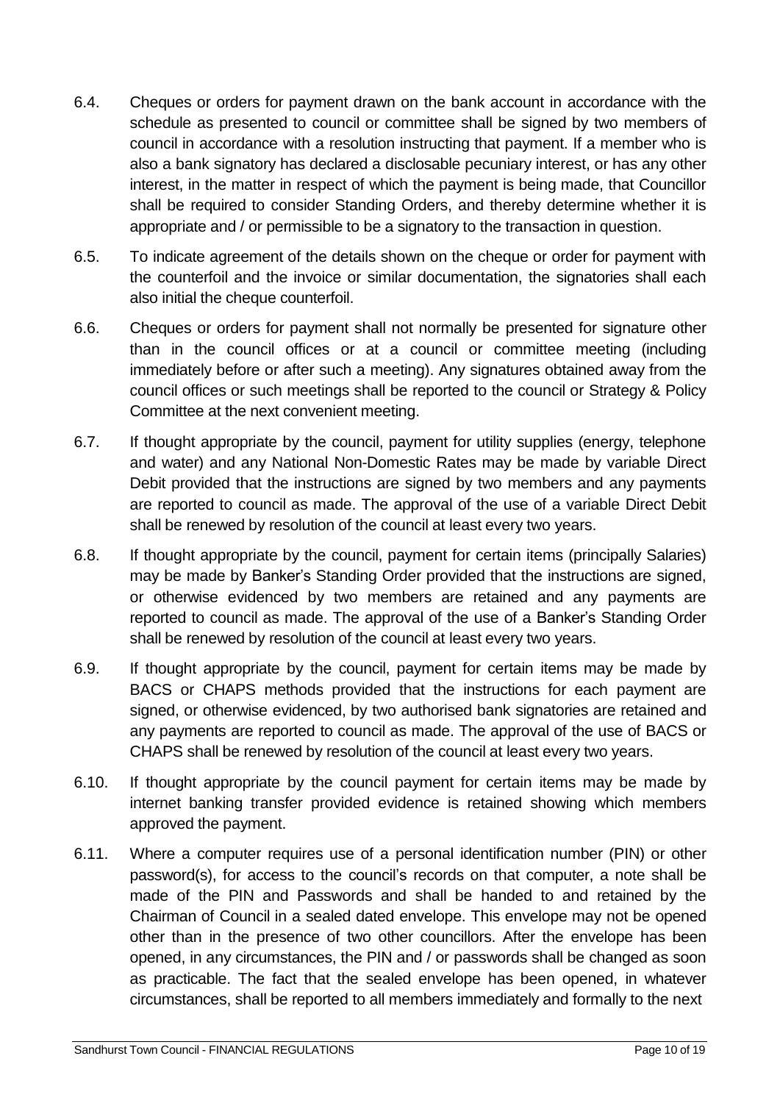- 6.4. Cheques or orders for payment drawn on the bank account in accordance with the schedule as presented to council or committee shall be signed by two members of council in accordance with a resolution instructing that payment. If a member who is also a bank signatory has declared a disclosable pecuniary interest, or has any other interest, in the matter in respect of which the payment is being made, that Councillor shall be required to consider Standing Orders, and thereby determine whether it is appropriate and / or permissible to be a signatory to the transaction in question.
- 6.5. To indicate agreement of the details shown on the cheque or order for payment with the counterfoil and the invoice or similar documentation, the signatories shall each also initial the cheque counterfoil.
- 6.6. Cheques or orders for payment shall not normally be presented for signature other than in the council offices or at a council or committee meeting (including immediately before or after such a meeting). Any signatures obtained away from the council offices or such meetings shall be reported to the council or Strategy & Policy Committee at the next convenient meeting.
- 6.7. If thought appropriate by the council, payment for utility supplies (energy, telephone and water) and any National Non-Domestic Rates may be made by variable Direct Debit provided that the instructions are signed by two members and any payments are reported to council as made. The approval of the use of a variable Direct Debit shall be renewed by resolution of the council at least every two years.
- 6.8. If thought appropriate by the council, payment for certain items (principally Salaries) may be made by Banker's Standing Order provided that the instructions are signed, or otherwise evidenced by two members are retained and any payments are reported to council as made. The approval of the use of a Banker's Standing Order shall be renewed by resolution of the council at least every two years.
- 6.9. If thought appropriate by the council, payment for certain items may be made by BACS or CHAPS methods provided that the instructions for each payment are signed, or otherwise evidenced, by two authorised bank signatories are retained and any payments are reported to council as made. The approval of the use of BACS or CHAPS shall be renewed by resolution of the council at least every two years.
- 6.10. If thought appropriate by the council payment for certain items may be made by internet banking transfer provided evidence is retained showing which members approved the payment.
- 6.11. Where a computer requires use of a personal identification number (PIN) or other password(s), for access to the council's records on that computer, a note shall be made of the PIN and Passwords and shall be handed to and retained by the Chairman of Council in a sealed dated envelope. This envelope may not be opened other than in the presence of two other councillors. After the envelope has been opened, in any circumstances, the PIN and / or passwords shall be changed as soon as practicable. The fact that the sealed envelope has been opened, in whatever circumstances, shall be reported to all members immediately and formally to the next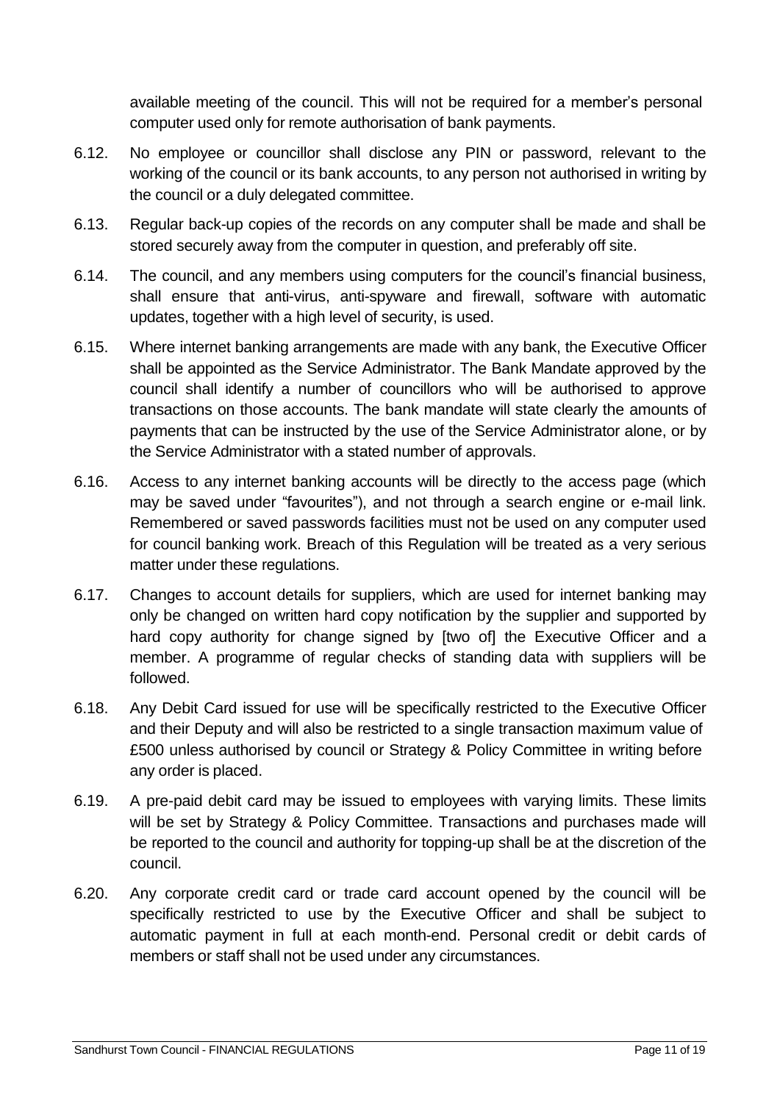available meeting of the council. This will not be required for a member's personal computer used only for remote authorisation of bank payments.

- 6.12. No employee or councillor shall disclose any PIN or password, relevant to the working of the council or its bank accounts, to any person not authorised in writing by the council or a duly delegated committee.
- 6.13. Regular back-up copies of the records on any computer shall be made and shall be stored securely away from the computer in question, and preferably off site.
- 6.14. The council, and any members using computers for the council's financial business, shall ensure that anti-virus, anti-spyware and firewall, software with automatic updates, together with a high level of security, is used.
- 6.15. Where internet banking arrangements are made with any bank, the Executive Officer shall be appointed as the Service Administrator. The Bank Mandate approved by the council shall identify a number of councillors who will be authorised to approve transactions on those accounts. The bank mandate will state clearly the amounts of payments that can be instructed by the use of the Service Administrator alone, or by the Service Administrator with a stated number of approvals.
- 6.16. Access to any internet banking accounts will be directly to the access page (which may be saved under "favourites"), and not through a search engine or e-mail link. Remembered or saved passwords facilities must not be used on any computer used for council banking work. Breach of this Regulation will be treated as a very serious matter under these regulations.
- 6.17. Changes to account details for suppliers, which are used for internet banking may only be changed on written hard copy notification by the supplier and supported by hard copy authority for change signed by [two of] the Executive Officer and a member. A programme of regular checks of standing data with suppliers will be followed.
- 6.18. Any Debit Card issued for use will be specifically restricted to the Executive Officer and their Deputy and will also be restricted to a single transaction maximum value of £500 unless authorised by council or Strategy & Policy Committee in writing before any order is placed.
- 6.19. A pre-paid debit card may be issued to employees with varying limits. These limits will be set by Strategy & Policy Committee. Transactions and purchases made will be reported to the council and authority for topping-up shall be at the discretion of the council.
- 6.20. Any corporate credit card or trade card account opened by the council will be specifically restricted to use by the Executive Officer and shall be subject to automatic payment in full at each month-end. Personal credit or debit cards of members or staff shall not be used under any circumstances.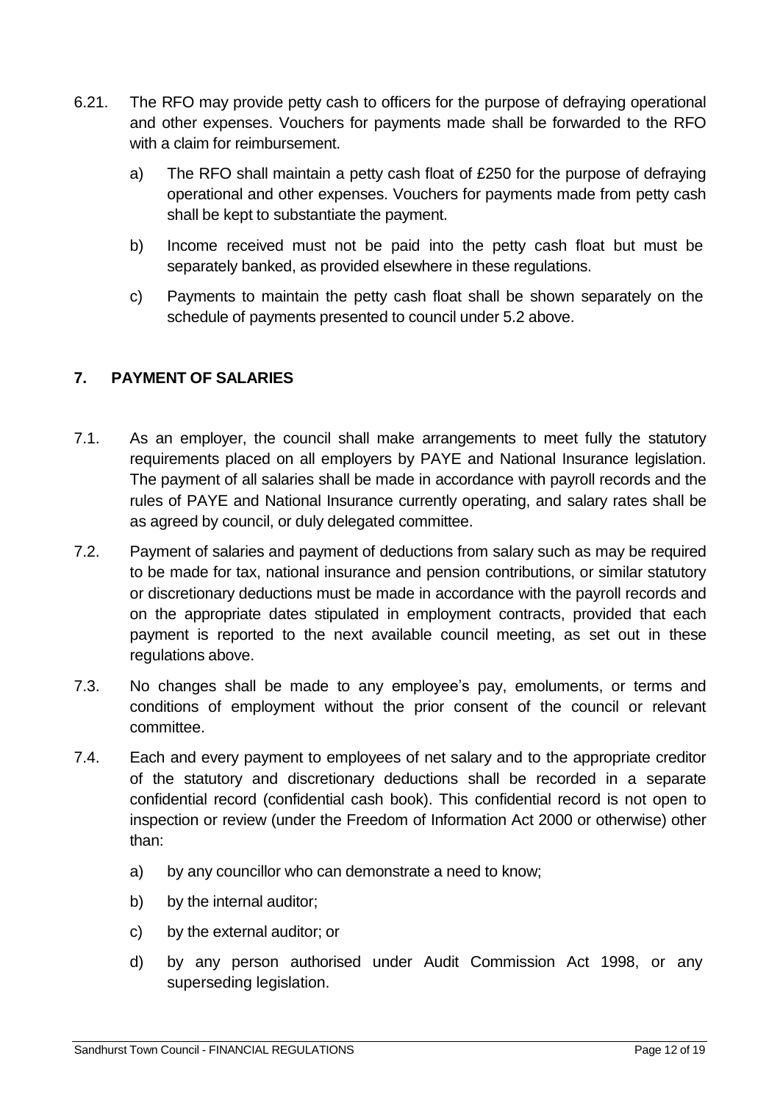- 6.21. The RFO may provide petty cash to officers for the purpose of defraying operational and other expenses. Vouchers for payments made shall be forwarded to the RFO with a claim for reimbursement.
	- a) The RFO shall maintain a petty cash float of £250 for the purpose of defraying operational and other expenses. Vouchers for payments made from petty cash shall be kept to substantiate the payment.
	- b) Income received must not be paid into the petty cash float but must be separately banked, as provided elsewhere in these regulations.
	- c) Payments to maintain the petty cash float shall be shown separately on the schedule of payments presented to council under 5.2 above.

### <span id="page-11-0"></span>**7. PAYMENT OF SALARIES**

- 7.1. As an employer, the council shall make arrangements to meet fully the statutory requirements placed on all employers by PAYE and National Insurance legislation. The payment of all salaries shall be made in accordance with payroll records and the rules of PAYE and National Insurance currently operating, and salary rates shall be as agreed by council, or duly delegated committee.
- 7.2. Payment of salaries and payment of deductions from salary such as may be required to be made for tax, national insurance and pension contributions, or similar statutory or discretionary deductions must be made in accordance with the payroll records and on the appropriate dates stipulated in employment contracts, provided that each payment is reported to the next available council meeting, as set out in these regulations above.
- 7.3. No changes shall be made to any employee's pay, emoluments, or terms and conditions of employment without the prior consent of the council or relevant committee.
- 7.4. Each and every payment to employees of net salary and to the appropriate creditor of the statutory and discretionary deductions shall be recorded in a separate confidential record (confidential cash book). This confidential record is not open to inspection or review (under the Freedom of Information Act 2000 or otherwise) other than:
	- a) by any councillor who can demonstrate a need to know;
	- b) by the internal auditor;
	- c) by the external auditor; or
	- d) by any person authorised under Audit Commission Act 1998, or any superseding legislation.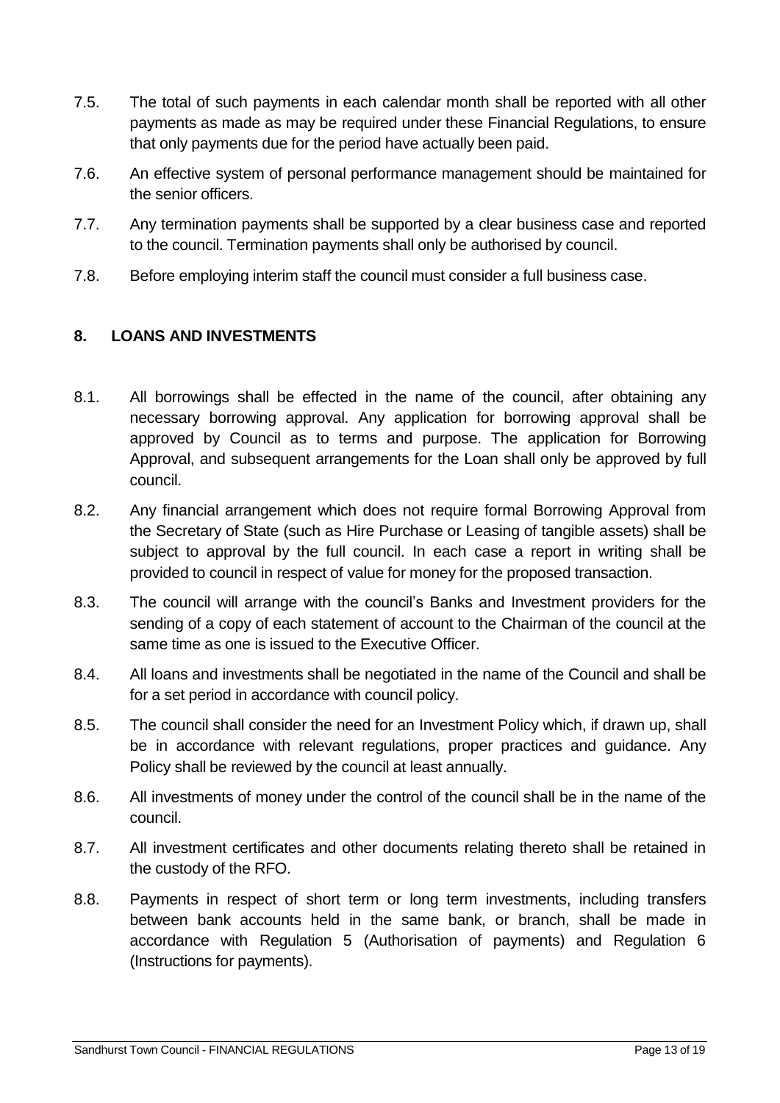- 7.5. The total of such payments in each calendar month shall be reported with all other payments as made as may be required under these Financial Regulations, to ensure that only payments due for the period have actually been paid.
- 7.6. An effective system of personal performance management should be maintained for the senior officers.
- 7.7. Any termination payments shall be supported by a clear business case and reported to the council. Termination payments shall only be authorised by council.
- 7.8. Before employing interim staff the council must consider a full business case.

### <span id="page-12-0"></span>**8. LOANS AND INVESTMENTS**

- 8.1. All borrowings shall be effected in the name of the council, after obtaining any necessary borrowing approval. Any application for borrowing approval shall be approved by Council as to terms and purpose. The application for Borrowing Approval, and subsequent arrangements for the Loan shall only be approved by full council.
- 8.2. Any financial arrangement which does not require formal Borrowing Approval from the Secretary of State (such as Hire Purchase or Leasing of tangible assets) shall be subject to approval by the full council. In each case a report in writing shall be provided to council in respect of value for money for the proposed transaction.
- 8.3. The council will arrange with the council's Banks and Investment providers for the sending of a copy of each statement of account to the Chairman of the council at the same time as one is issued to the Executive Officer.
- 8.4. All loans and investments shall be negotiated in the name of the Council and shall be for a set period in accordance with council policy.
- 8.5. The council shall consider the need for an Investment Policy which, if drawn up, shall be in accordance with relevant regulations, proper practices and guidance. Any Policy shall be reviewed by the council at least annually.
- 8.6. All investments of money under the control of the council shall be in the name of the council.
- 8.7. All investment certificates and other documents relating thereto shall be retained in the custody of the RFO.
- 8.8. Payments in respect of short term or long term investments, including transfers between bank accounts held in the same bank, or branch, shall be made in accordance with Regulation 5 (Authorisation of payments) and Regulation 6 (Instructions for payments).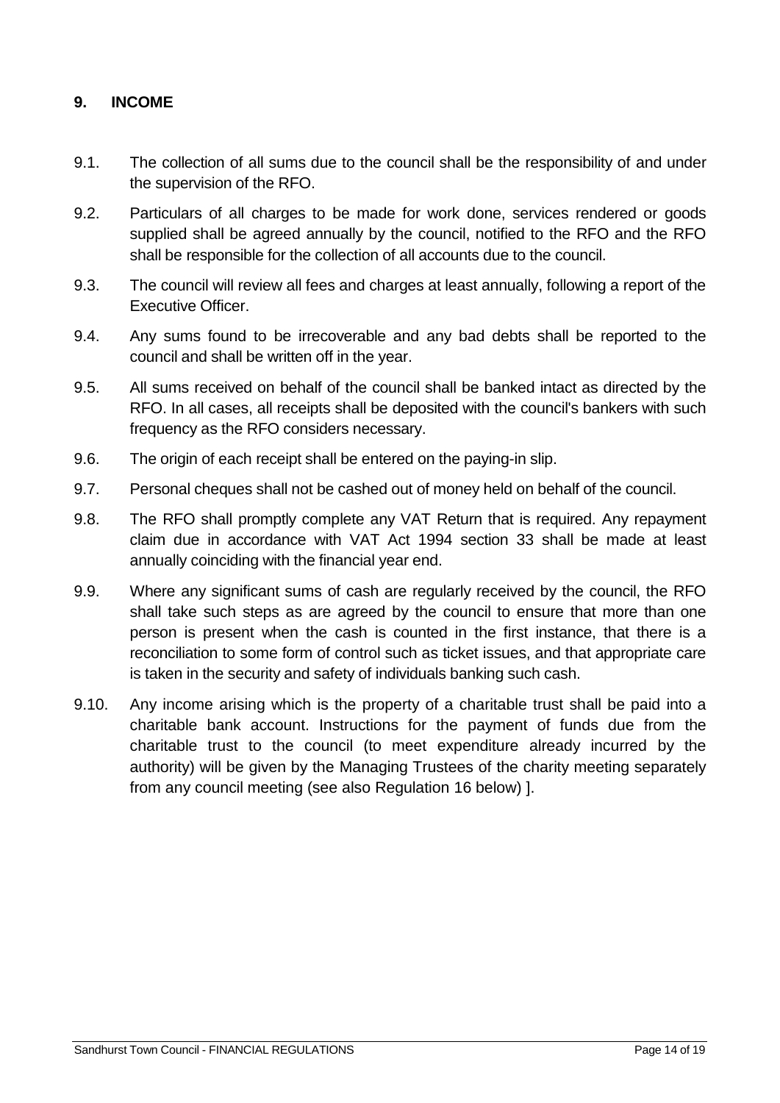#### <span id="page-13-0"></span>**9. INCOME**

- 9.1. The collection of all sums due to the council shall be the responsibility of and under the supervision of the RFO.
- 9.2. Particulars of all charges to be made for work done, services rendered or goods supplied shall be agreed annually by the council, notified to the RFO and the RFO shall be responsible for the collection of all accounts due to the council.
- 9.3. The council will review all fees and charges at least annually, following a report of the Executive Officer.
- 9.4. Any sums found to be irrecoverable and any bad debts shall be reported to the council and shall be written off in the year.
- 9.5. All sums received on behalf of the council shall be banked intact as directed by the RFO. In all cases, all receipts shall be deposited with the council's bankers with such frequency as the RFO considers necessary.
- 9.6. The origin of each receipt shall be entered on the paying-in slip.
- 9.7. Personal cheques shall not be cashed out of money held on behalf of the council.
- 9.8. The RFO shall promptly complete any VAT Return that is required. Any repayment claim due in accordance with VAT Act 1994 section 33 shall be made at least annually coinciding with the financial year end.
- 9.9. Where any significant sums of cash are regularly received by the council, the RFO shall take such steps as are agreed by the council to ensure that more than one person is present when the cash is counted in the first instance, that there is a reconciliation to some form of control such as ticket issues, and that appropriate care is taken in the security and safety of individuals banking such cash.
- 9.10. Any income arising which is the property of a charitable trust shall be paid into a charitable bank account. Instructions for the payment of funds due from the charitable trust to the council (to meet expenditure already incurred by the authority) will be given by the Managing Trustees of the charity meeting separately from any council meeting (see also Regulation 16 below) ].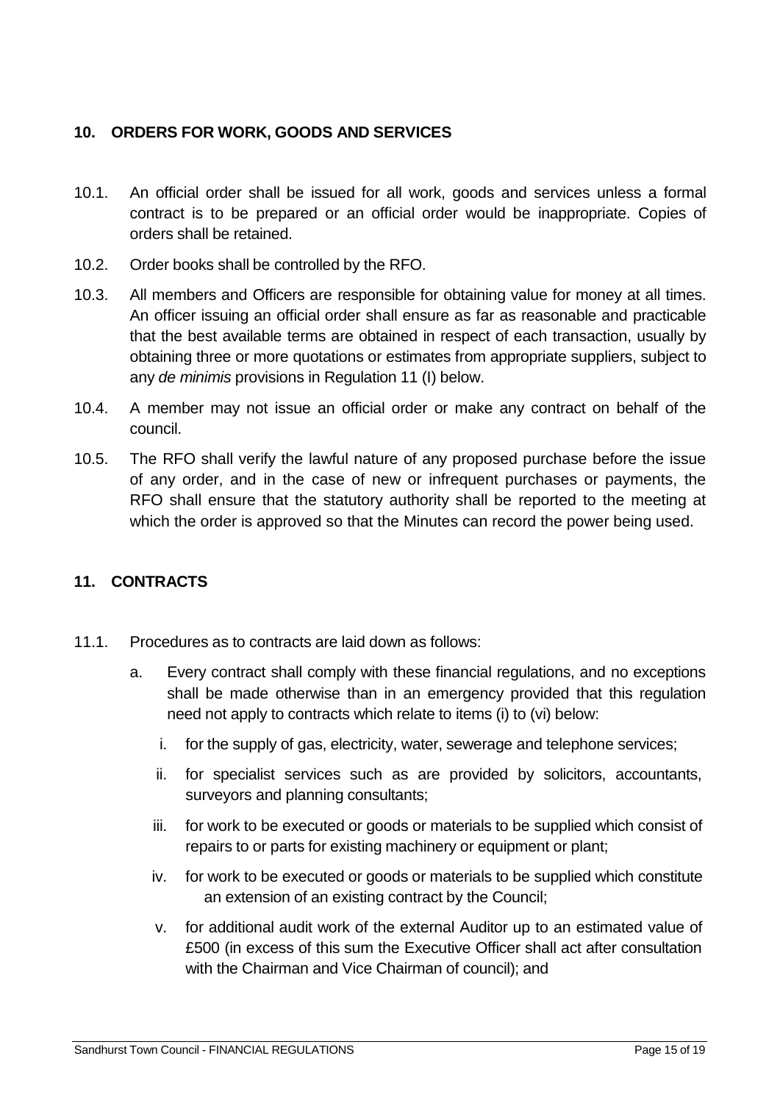### <span id="page-14-0"></span>**10. ORDERS FOR WORK, GOODS AND SERVICES**

- 10.1. An official order shall be issued for all work, goods and services unless a formal contract is to be prepared or an official order would be inappropriate. Copies of orders shall be retained.
- 10.2. Order books shall be controlled by the RFO.
- 10.3. All members and Officers are responsible for obtaining value for money at all times. An officer issuing an official order shall ensure as far as reasonable and practicable that the best available terms are obtained in respect of each transaction, usually by obtaining three or more quotations or estimates from appropriate suppliers, subject to any *de minimis* provisions in Regulation 11 (I) below.
- 10.4. A member may not issue an official order or make any contract on behalf of the council.
- 10.5. The RFO shall verify the lawful nature of any proposed purchase before the issue of any order, and in the case of new or infrequent purchases or payments, the RFO shall ensure that the statutory authority shall be reported to the meeting at which the order is approved so that the Minutes can record the power being used.

### <span id="page-14-1"></span>**11. CONTRACTS**

- 11.1. Procedures as to contracts are laid down as follows:
	- a. Every contract shall comply with these financial regulations, and no exceptions shall be made otherwise than in an emergency provided that this regulation need not apply to contracts which relate to items (i) to (vi) below:
		- i. for the supply of gas, electricity, water, sewerage and telephone services;
		- ii. for specialist services such as are provided by solicitors, accountants, surveyors and planning consultants;
		- iii. for work to be executed or goods or materials to be supplied which consist of repairs to or parts for existing machinery or equipment or plant;
		- iv. for work to be executed or goods or materials to be supplied which constitute an extension of an existing contract by the Council;
		- v. for additional audit work of the external Auditor up to an estimated value of £500 (in excess of this sum the Executive Officer shall act after consultation with the Chairman and Vice Chairman of council); and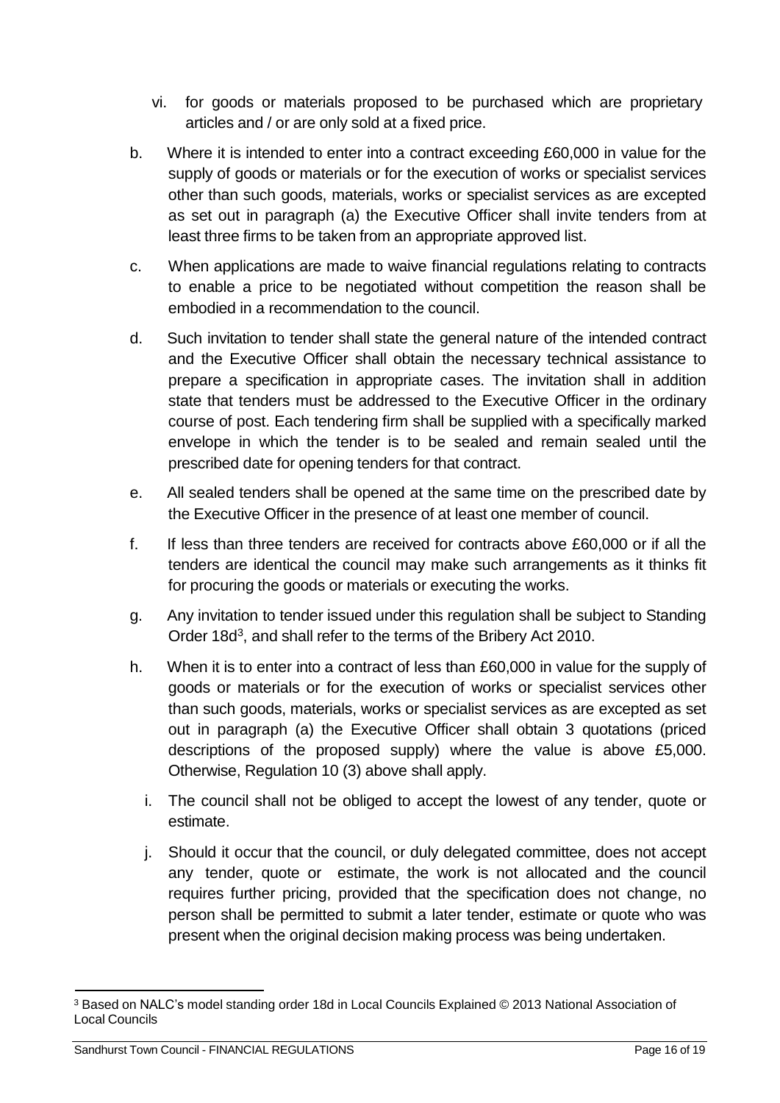- vi. for goods or materials proposed to be purchased which are proprietary articles and / or are only sold at a fixed price.
- b. Where it is intended to enter into a contract exceeding £60,000 in value for the supply of goods or materials or for the execution of works or specialist services other than such goods, materials, works or specialist services as are excepted as set out in paragraph (a) the Executive Officer shall invite tenders from at least three firms to be taken from an appropriate approved list.
- c. When applications are made to waive financial regulations relating to contracts to enable a price to be negotiated without competition the reason shall be embodied in a recommendation to the council.
- d. Such invitation to tender shall state the general nature of the intended contract and the Executive Officer shall obtain the necessary technical assistance to prepare a specification in appropriate cases. The invitation shall in addition state that tenders must be addressed to the Executive Officer in the ordinary course of post. Each tendering firm shall be supplied with a specifically marked envelope in which the tender is to be sealed and remain sealed until the prescribed date for opening tenders for that contract.
- e. All sealed tenders shall be opened at the same time on the prescribed date by the Executive Officer in the presence of at least one member of council.
- f. If less than three tenders are received for contracts above £60,000 or if all the tenders are identical the council may make such arrangements as it thinks fit for procuring the goods or materials or executing the works.
- g. Any invitation to tender issued under this regulation shall be subject to Standing Order 18d<sup>[3](#page-15-0)</sup>, and shall refer to the terms of the Bribery Act 2010.
- h. When it is to enter into a contract of less than £60,000 in value for the supply of goods or materials or for the execution of works or specialist services other than such goods, materials, works or specialist services as are excepted as set out in paragraph (a) the Executive Officer shall obtain 3 quotations (priced descriptions of the proposed supply) where the value is above £5,000. Otherwise, Regulation 10 (3) above shall apply.
	- i. The council shall not be obliged to accept the lowest of any tender, quote or estimate.
	- j. Should it occur that the council, or duly delegated committee, does not accept any tender, quote or estimate, the work is not allocated and the council requires further pricing, provided that the specification does not change, no person shall be permitted to submit a later tender, estimate or quote who was present when the original decision making process was being undertaken.

<span id="page-15-0"></span><sup>3</sup> Based on NALC's model standing order 18d in Local Councils Explained © 2013 National Association of Local Councils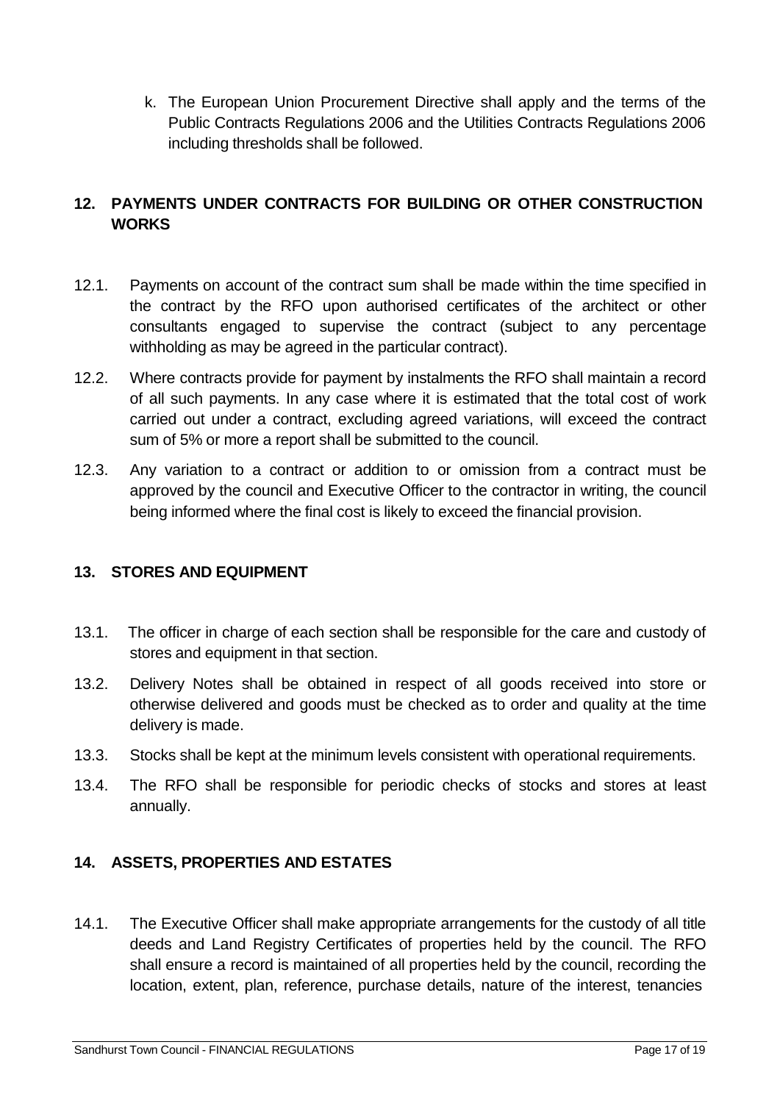k. The European Union Procurement Directive shall apply and the terms of the Public Contracts Regulations 2006 and the Utilities Contracts Regulations 2006 including thresholds shall be followed.

### <span id="page-16-0"></span>**12. PAYMENTS UNDER CONTRACTS FOR BUILDING OR OTHER CONSTRUCTION WORKS**

- 12.1. Payments on account of the contract sum shall be made within the time specified in the contract by the RFO upon authorised certificates of the architect or other consultants engaged to supervise the contract (subject to any percentage withholding as may be agreed in the particular contract).
- 12.2. Where contracts provide for payment by instalments the RFO shall maintain a record of all such payments. In any case where it is estimated that the total cost of work carried out under a contract, excluding agreed variations, will exceed the contract sum of 5% or more a report shall be submitted to the council.
- 12.3. Any variation to a contract or addition to or omission from a contract must be approved by the council and Executive Officer to the contractor in writing, the council being informed where the final cost is likely to exceed the financial provision.

### <span id="page-16-1"></span>**13. STORES AND EQUIPMENT**

- 13.1. The officer in charge of each section shall be responsible for the care and custody of stores and equipment in that section.
- 13.2. Delivery Notes shall be obtained in respect of all goods received into store or otherwise delivered and goods must be checked as to order and quality at the time delivery is made.
- 13.3. Stocks shall be kept at the minimum levels consistent with operational requirements.
- 13.4. The RFO shall be responsible for periodic checks of stocks and stores at least annually.

### <span id="page-16-2"></span>**14. ASSETS, PROPERTIES AND ESTATES**

14.1. The Executive Officer shall make appropriate arrangements for the custody of all title deeds and Land Registry Certificates of properties held by the council. The RFO shall ensure a record is maintained of all properties held by the council, recording the location, extent, plan, reference, purchase details, nature of the interest, tenancies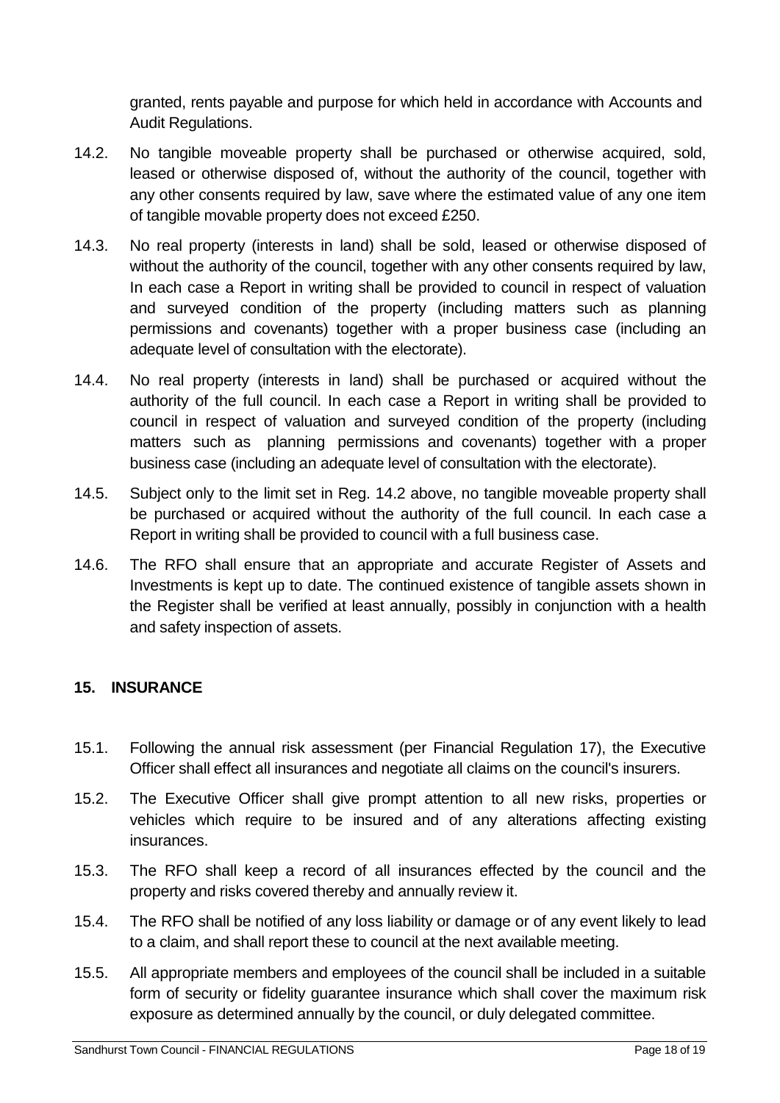granted, rents payable and purpose for which held in accordance with Accounts and Audit Regulations.

- 14.2. No tangible moveable property shall be purchased or otherwise acquired, sold, leased or otherwise disposed of, without the authority of the council, together with any other consents required by law, save where the estimated value of any one item of tangible movable property does not exceed £250.
- 14.3. No real property (interests in land) shall be sold, leased or otherwise disposed of without the authority of the council, together with any other consents required by law, In each case a Report in writing shall be provided to council in respect of valuation and surveyed condition of the property (including matters such as planning permissions and covenants) together with a proper business case (including an adequate level of consultation with the electorate).
- 14.4. No real property (interests in land) shall be purchased or acquired without the authority of the full council. In each case a Report in writing shall be provided to council in respect of valuation and surveyed condition of the property (including matters such as planning permissions and covenants) together with a proper business case (including an adequate level of consultation with the electorate).
- 14.5. Subject only to the limit set in Reg. 14.2 above, no tangible moveable property shall be purchased or acquired without the authority of the full council. In each case a Report in writing shall be provided to council with a full business case.
- 14.6. The RFO shall ensure that an appropriate and accurate Register of Assets and Investments is kept up to date. The continued existence of tangible assets shown in the Register shall be verified at least annually, possibly in conjunction with a health and safety inspection of assets.

### <span id="page-17-0"></span>**15. INSURANCE**

- 15.1. Following the annual risk assessment (per Financial Regulation 17), the Executive Officer shall effect all insurances and negotiate all claims on the council's insurers.
- 15.2. The Executive Officer shall give prompt attention to all new risks, properties or vehicles which require to be insured and of any alterations affecting existing insurances.
- 15.3. The RFO shall keep a record of all insurances effected by the council and the property and risks covered thereby and annually review it.
- 15.4. The RFO shall be notified of any loss liability or damage or of any event likely to lead to a claim, and shall report these to council at the next available meeting.
- 15.5. All appropriate members and employees of the council shall be included in a suitable form of security or fidelity guarantee insurance which shall cover the maximum risk exposure as determined annually by the council, or duly delegated committee.